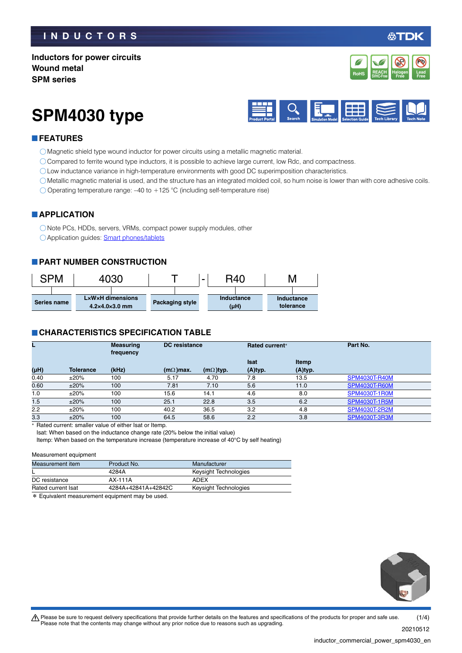### **INDUCTORS**

**DK** 

### **Inductors for power circuits Wound metal SPM series**



# **SPM4030 type**



### **FEATURES**

Magnetic shield type wound inductor for power circuits using a metallic magnetic material.

Compared to ferrite wound type inductors, it is possible to achieve large current, low Rdc, and compactness.

Low inductance variance in high-temperature environments with good DC superimposition characteristics.

Metallic magnetic material is used, and the structure has an integrated molded coil, so hum noise is lower than with core adhesive coils.

Operating temperature range: –40 to +125 °C (including self-temperature rise)

### **APPLICATION**

Note PCs, HDDs, servers, VRMs, compact power supply modules, other Application guides: [Smart phones/tablets](https://product.tdk.com/info/en/applicationguide/smartphone_tablet/index.html?utm_source=inductor_commercial_power_spm4030_en.pdf&utm_medium=catalog)

### **PART NUMBER CONSTRUCTION**



### **CHARACTERISTICS SPECIFICATION TABLE**

|      |                  | <b>Measuring</b><br>frequency |                  | <b>DC</b> resistance |             | Rated current* | Part No.             |
|------|------------------|-------------------------------|------------------|----------------------|-------------|----------------|----------------------|
|      |                  |                               |                  |                      | <b>Isat</b> | Itemp          |                      |
| (µH) | <b>Tolerance</b> | (kHz)                         | $(m\Omega)$ max. | $(m\Omega)$ typ.     | (A)typ.     | (A)typ.        |                      |
| 0.40 | ±20%             | 100                           | 5.17             | 4.70                 | 7.8         | 13.5           | <b>SPM4030T-R40M</b> |
| 0.60 | ±20%             | 100                           | 7.81             | 7.10                 | 5.6         | 11.0           | <b>SPM4030T-R60M</b> |
| 1.0  | ±20%             | 100                           | 15.6             | 14.1                 | 4.6         | 8.0            | <b>SPM4030T-1R0M</b> |
| 1.5  | ±20%             | 100                           | 25.1             | 22.8                 | 3.5         | 6.2            | SPM4030T-1R5M        |
| 2.2  | ±20%             | 100                           | 40.2             | 36.5                 | 3.2         | 4.8            | SPM4030T-2R2M        |
| 3.3  | ±20%             | 100                           | 64.5             | 58.6                 | 2.2         | 3.8            | SPM4030T-3R3M        |

\* Rated current: smaller value of either Isat or Itemp.

Isat: When based on the inductance change rate (20% below the initial value)

Itemp: When based on the temperature increase (temperature increase of 40°C by self heating)

#### Measurement equipment

| Measurement item   | Product No.         | Manufacturer          |  |
|--------------------|---------------------|-----------------------|--|
|                    | 4284A               | Keysight Technologies |  |
| DC resistance      | AX-111A             | ADEX                  |  |
| Rated current Isat | 4284A+42841A+42842C | Keysight Technologies |  |
| .                  | .                   |                       |  |

\* Equivalent measurement equipment may be used.



20210512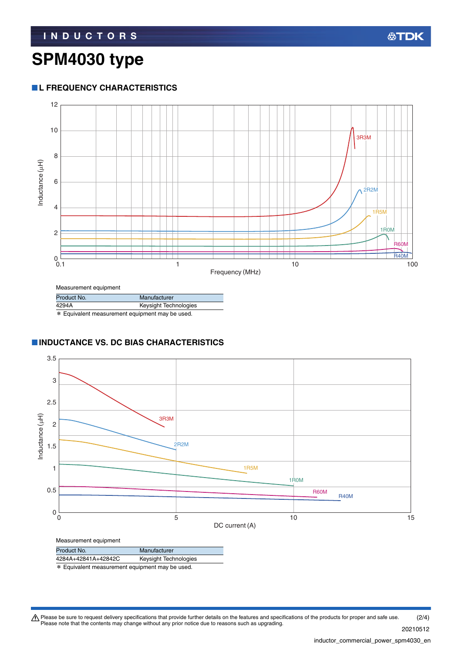# **SPM4030 type**

### **L FREQUENCY CHARACTERISTICS**



Measurement equipment

| Product No.                                     | Manufacturer          |  |  |
|-------------------------------------------------|-----------------------|--|--|
| 4294A                                           | Keysight Technologies |  |  |
| * Equivalent measurement equipment may be used. |                       |  |  |

### **INDUCTANCE VS. DC BIAS CHARACTERISTICS**



\* Equivalent measurement equipment may be used.

Please be sure to request delivery specifications that provide further details on the features and specifications of the products for proper and safe use.<br>Please note that the contents may change without any prior notice d (2/4)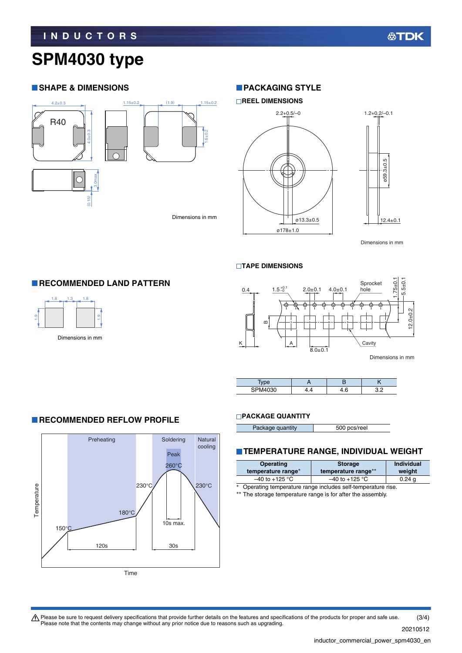# **SPM4030 type**

### **SHAPE & DIMENSIONS**



### **PACKAGING STYLE**



#### **TAPE DIMENSIONS**



| 7111000<br>cп<br>'30 |  | ה ר |
|----------------------|--|-----|

### **RECOMMENDED LAND PATTERN**



### **RECOMMENDED REFLOW PROFILE**



#### **PACKAGE QUANTITY**

| Package quantity | 500 pcs/reel |
|------------------|--------------|

### **TEMPERATURE RANGE, INDIVIDUAL WEIGHT**

| Operating<br>temperature range*                                  | <b>Storage</b><br>temperature range** | <b>Individual</b><br>weight |
|------------------------------------------------------------------|---------------------------------------|-----------------------------|
| $-40$ to +125 °C                                                 | $-40$ to +125 °C                      | 0.24 <sub>q</sub>           |
| Operating temperature range includes self-temperature rise.<br>* |                                       |                             |

\*\* The storage temperature range is for after the assembly.

Please be sure to request delivery specifications that provide further details on the features and specifications of the products for proper and safe use.<br>Please note that the contents may change without any prior notice d (3/4)

20210512